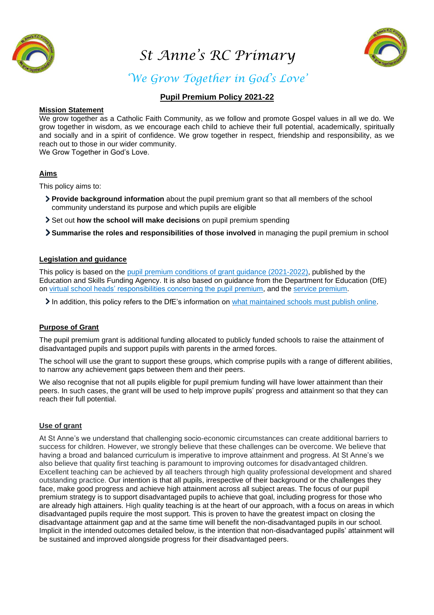

*St Anne's RC Primary* 



# *'We Grow Together in God's Love'*

## **Pupil Premium Policy 2021-22**

#### **Mission Statement**

We grow together as a Catholic Faith Community, as we follow and promote Gospel values in all we do. We grow together in wisdom, as we encourage each child to achieve their full potential, academically, spiritually and socially and in a spirit of confidence. We grow together in respect, friendship and responsibility, as we reach out to those in our wider community.

We Grow Together in God's Love.

## **Aims**

This policy aims to:

- **Provide background information** about the pupil premium grant so that all members of the school community understand its purpose and which pupils are eligible
- Set out **how the school will make decisions** on pupil premium spending
- **Summarise the roles and responsibilities of those involved** in managing the pupil premium in school

## **Legislation and guidance**

This policy is based on the [pupil premium conditions of grant guidance \(2021-2022\),](https://www.gov.uk/government/publications/pupil-premium-allocations-and-conditions-of-grant-2021-to-2022/pupil-premium-conditions-of-grant-2021-to-2022-for-local-authorities) published by the Education and Skills Funding Agency. It is also based on guidance from the Department for Education (DfE) on [virtual school heads' responsibilities concerning the pupil premium,](https://www.gov.uk/guidance/pupil-premium-virtual-school-heads-responsibilities) and the [service premium.](https://www.gov.uk/guidance/service-premium-information-for-schools)

In addition, this policy refers to the DfE's information on [what maintained schools must publish online.](https://www.gov.uk/guidance/what-maintained-schools-must-publish-online#pupil-premium)

#### **Purpose of Grant**

The pupil premium grant is additional funding allocated to publicly funded schools to raise the attainment of disadvantaged pupils and support pupils with parents in the armed forces.

The school will use the grant to support these groups, which comprise pupils with a range of different abilities, to narrow any achievement gaps between them and their peers.

We also recognise that not all pupils eligible for pupil premium funding will have lower attainment than their peers. In such cases, the grant will be used to help improve pupils' progress and attainment so that they can reach their full potential.

#### **Use of grant**

At St Anne's we understand that challenging socio-economic circumstances can create additional barriers to success for children. However, we strongly believe that these challenges can be overcome. We believe that having a broad and balanced curriculum is imperative to improve attainment and progress. At St Anne's we also believe that quality first teaching is paramount to improving outcomes for disadvantaged children. Excellent teaching can be achieved by all teachers through high quality professional development and shared outstanding practice. Our intention is that all pupils, irrespective of their background or the challenges they face, make good progress and achieve high attainment across all subject areas. The focus of our pupil premium strategy is to support disadvantaged pupils to achieve that goal, including progress for those who are already high attainers. High quality teaching is at the heart of our approach, with a focus on areas in which disadvantaged pupils require the most support. This is proven to have the greatest impact on closing the disadvantage attainment gap and at the same time will benefit the non-disadvantaged pupils in our school. Implicit in the intended outcomes detailed below, is the intention that non-disadvantaged pupils' attainment will be sustained and improved alongside progress for their disadvantaged peers.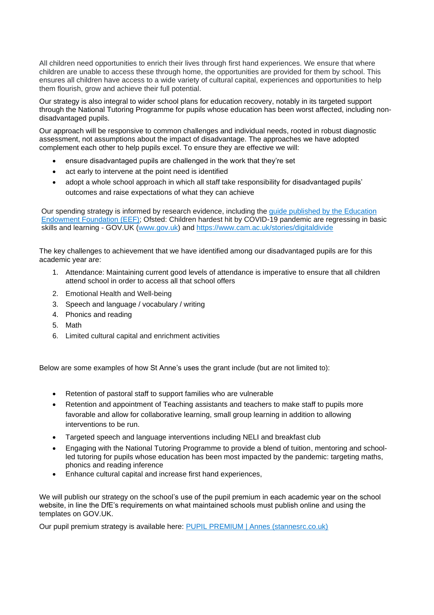All children need opportunities to enrich their lives through first hand experiences. We ensure that where children are unable to access these through home, the opportunities are provided for them by school. This ensures all children have access to a wide variety of cultural capital, experiences and opportunities to help them flourish, grow and achieve their full potential.

Our strategy is also integral to wider school plans for education recovery, notably in its targeted support through the National Tutoring Programme for pupils whose education has been worst affected, including nondisadvantaged pupils.

Our approach will be responsive to common challenges and individual needs, rooted in robust diagnostic assessment, not assumptions about the impact of disadvantage. The approaches we have adopted complement each other to help pupils excel. To ensure they are effective we will:

- ensure disadvantaged pupils are challenged in the work that they're set
- act early to intervene at the point need is identified
- adopt a whole school approach in which all staff take responsibility for disadvantaged pupils' outcomes and raise expectations of what they can achieve

Our spending strategy is informed by research evidence, including the guide [published by the Education](https://educationendowmentfoundation.org.uk/evidence-summaries/pupil-premium-guide/)  [Endowment Foundation \(EEF\);](https://educationendowmentfoundation.org.uk/evidence-summaries/pupil-premium-guide/) Ofsted: Children hardest hit by COVID-19 pandemic are regressing in basic skills and learning - GOV.UK [\(www.gov.uk\)](http://www.gov.uk/) and<https://www.cam.ac.uk/stories/digitaldivide>

The key challenges to achievement that we have identified among our disadvantaged pupils are for this academic year are:

- 1. Attendance: Maintaining current good levels of attendance is imperative to ensure that all children attend school in order to access all that school offers
- 2. Emotional Health and Well-being
- 3. Speech and language / vocabulary / writing
- 4. Phonics and reading
- 5. Math
- 6. Limited cultural capital and enrichment activities

Below are some examples of how St Anne's uses the grant include (but are not limited to):

- Retention of pastoral staff to support families who are vulnerable
- Retention and appointment of Teaching assistants and teachers to make staff to pupils more favorable and allow for collaborative learning, small group learning in addition to allowing interventions to be run.
- Targeted speech and language interventions including NELI and breakfast club
- Engaging with the National Tutoring Programme to provide a blend of tuition, mentoring and schoolled tutoring for pupils whose education has been most impacted by the pandemic: targeting maths, phonics and reading inference
- Enhance cultural capital and increase first hand experiences,

We will publish our strategy on the school's use of the pupil premium in each academic year on the school website, in line the DfE's requirements on what maintained schools must publish online and using the templates on GOV.UK.

Our pupil premium strategy is available here: [PUPIL PREMIUM | Annes \(stannesrc.co.uk\)](https://www.stannesrc.co.uk/pupil-premium)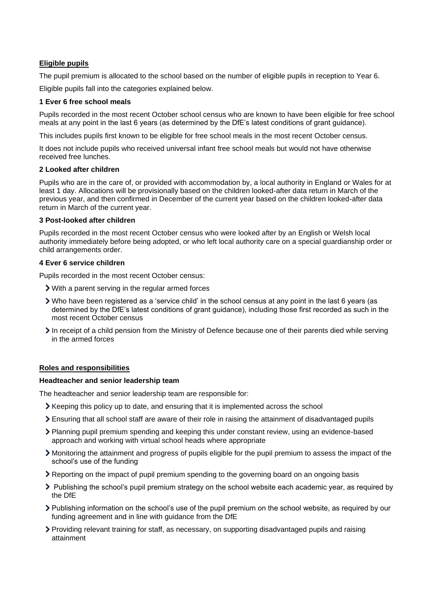## **Eligible pupils**

The pupil premium is allocated to the school based on the number of eligible pupils in reception to Year 6.

Eligible pupils fall into the categories explained below.

#### **1 Ever 6 free school meals**

Pupils recorded in the most recent October school census who are known to have been eligible for free school meals at any point in the last 6 years (as determined by the DfE's latest conditions of grant guidance).

This includes pupils first known to be eligible for free school meals in the most recent October census.

It does not include pupils who received universal infant free school meals but would not have otherwise received free lunches.

#### **2 Looked after children**

Pupils who are in the care of, or provided with accommodation by, a local authority in England or Wales for at least 1 day. Allocations will be provisionally based on the children looked-after data return in March of the previous year, and then confirmed in December of the current year based on the children looked-after data return in March of the current year.

#### **3 Post-looked after children**

Pupils recorded in the most recent October census who were looked after by an English or Welsh local authority immediately before being adopted, or who left local authority care on a special guardianship order or child arrangements order.

#### **4 Ever 6 service children**

Pupils recorded in the most recent October census:

- With a parent serving in the regular armed forces
- Who have been registered as a 'service child' in the school census at any point in the last 6 years (as determined by the DfE's latest conditions of grant guidance), including those first recorded as such in the most recent October census
- In receipt of a child pension from the Ministry of Defence because one of their parents died while serving in the armed forces

#### **Roles and responsibilities**

#### **Headteacher and senior leadership team**

The headteacher and senior leadership team are responsible for:

- Keeping this policy up to date, and ensuring that it is implemented across the school
- Ensuring that all school staff are aware of their role in raising the attainment of disadvantaged pupils
- Planning pupil premium spending and keeping this under constant review, using an evidence-based approach and working with virtual school heads where appropriate
- Monitoring the attainment and progress of pupils eligible for the pupil premium to assess the impact of the school's use of the funding
- Reporting on the impact of pupil premium spending to the governing board on an ongoing basis
- Publishing the school's pupil premium strategy on the school website each academic year, as required by the DfE
- Publishing information on the school's use of the pupil premium on the school website, as required by our funding agreement and in line with guidance from the DfE
- Providing relevant training for staff, as necessary, on supporting disadvantaged pupils and raising attainment